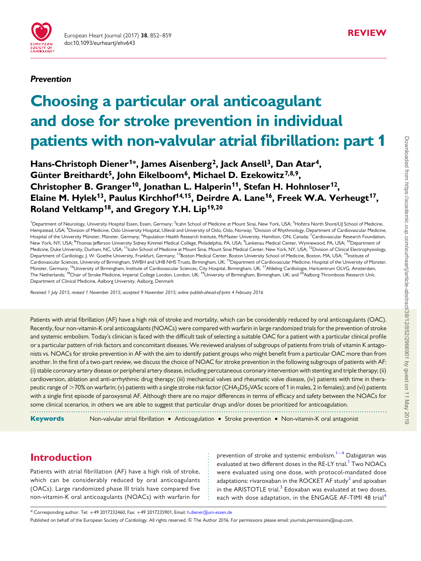

#### Prevention

# Choosing a particular oral anticoagulant and dose for stroke prevention in individual patients with non-valvular atrial fibrillation: part 1

Hans-Christoph Diener<sup>1\*</sup>, James Aisenberg<sup>2</sup>, Jack Ansell<sup>3</sup>, Dan Atar<sup>4</sup>, Günter Breithardt<sup>5</sup>, John Eikelboom<sup>6</sup>, Michael D. Ezekowitz<sup>7,8,9</sup>, Christopher B. Granger<sup>10</sup>, Jonathan L. Halperin<sup>11</sup>, Stefan H. Hohnloser<sup>12</sup>, Elaine M. Hylek<sup>13</sup>, Paulus Kirchhof<sup>14,15</sup>, Deirdre A. Lane<sup>16</sup>, Freek W.A. Verheugt<sup>17</sup>, Roland Veltkamp<sup>18</sup>, and Gregory Y.H. Lip<sup>19,20</sup>

<sup>1</sup>Department of Neurology, University Hospital Essen, Essen, Germany; <sup>2</sup>Icahn School of Medicine at Mount Sinai, New York, USA; <sup>3</sup>Hofstra North Shore/LIJ School of Medicine Hempstead, USA; <sup>4</sup>Division of Medicine, Oslo University Hospital, Ullevål and University of Oslo, Oslo, Norway; <sup>5</sup>Division of Rhythmology, Department of Cardiovascular Medicine, Hospital of the University Münster, Münster, Germany; <sup>6</sup>Population Health Research Institute, McMaster University, Hamilton, ON, Canada; <sup>7</sup>Cardiovascular Research Foundation, New York, NY, USA; <sup>8</sup>Thomas Jefferson University Sidney Kimmel Medical College, Philadelphia, PA, USA; <sup>3</sup>Lankenau Medical Center, Wynnewood, PA, USA; <sup>10</sup>Department of Medicine, Duke University, Durham, NC, USA; <sup>11</sup>Icahn School of Medicine at Mount Sinai, Mount Sinai Medical Center, New York, NY, USA; <sup>12</sup>Division of Clinical Electrophysiology, Department of Cardiology, J. W. Goethe University, Frankfurt, Germany; <sup>13</sup>Boston Medical Center, Boston University School of Medicine, Boston, MA, USA; <sup>14</sup>Institute of Cardiovascular Sciences, University of Birmingham, SWBH and UHB NHS Trusts, Birmingham, UK; <sup>15</sup>Department of Cardiovascular Medicine, Hospital of the University of Münster, Münster, Germany; <sup>16</sup>University of Birmingham, Institute of Cardiovascular Sciences, City Hospital, Birmingham, UK; <sup>17</sup>Afdeling Cardiologie, Hartcentrum OLVG, Amsterdam. The Netherlands; <sup>18</sup>Chair of Stroke Medicine, Imperial College London, London, UK; <sup>19</sup>University of Birmingham, Birmingham, UK; and <sup>20</sup>Aalborg Thrombosis Research Unit, Department of Clinical Medicine, Aalborg University, Aalborg, Denmark

Received 1 July 2015; revised 1 November 2015; accepted 9 November 2015; online publish-ahead-of-print 4 February 2016

Patients with atrial fibrillation (AF) have a high risk of stroke and mortality, which can be considerably reduced by oral anticoagulants (OAC). Recently, four non-vitamin-K oral anticoagulants (NOACs) were compared with warfarin in large randomized trials for the prevention of stroke and systemic embolism. Today's clinician is faced with the difficult task of selecting a suitable OAC for a patient with a particular clinical profile or a particular pattern of risk factors and concomitant diseases. We reviewed analyses of subgroups of patients from trials of vitamin K antagonists vs. NOACs for stroke prevention in AF with the aim to identify patient groups who might benefit from a particular OAC more than from another. In the first of a two-part review, we discuss the choice of NOAC for stroke prevention in the following subgroups of patients with AF: (i) stable coronary artery disease or peripheral artery disease, including percutaneous coronary intervention with stenting and triple therapy; (ii) cardioversion, ablation and anti-arrhythmic drug therapy; (iii) mechanical valves and rheumatic valve disease, (iv) patients with time in therapeutic range of >70% on warfarin; (v) patients with a single stroke risk factor (CHA<sub>2</sub>DS<sub>2</sub>VASc score of 1 in males, 2 in females); and (vi) patients with a single first episode of paroxysmal AF. Although there are no major differences in terms of efficacy and safety between the NOACs for some clinical scenarios, in others we are able to suggest that particular drugs and/or doses be prioritized for anticoagulation.

------------------------------------------------------------------------------------------------------------------------------- ---------------------------- Keywords Non-valvular atrial fibrillation • Anticoagulation • Stroke prevention • Non-vitamin-K oral antagonist

# Introduction

Patients with atrial fibrillation (AF) have a high risk of stroke, which can be considerably reduced by oral anticoagulants (OACs). Large randomized phase III trials have compared five non-vitamin-K oral anticoagulants (NOACs) with warfarin for

prevention of stroke and systemic embolism.<sup>[1](#page-7-0)-[4](#page-7-0)</sup> Dabigatran was evaluated at two different doses in the RE-LY trial.<sup>[1](#page-7-0)</sup> Two NOACs were evaluated using one dose, with protocol-mandated dose adaptations: rivaroxaban in the ROCKET AF study<sup>[2](#page-7-0)</sup> and apixaban in the ARISTOTLE trial. $3$  Edoxaban was evaluated at two doses, each with dose adaptation, in the ENGAGE AF-TIMI [4](#page-7-0)8 trial<sup>4</sup>

<sup>\*</sup> Corresponding author. Tel: +49 2017232460, Fax: +49 2017235901, Email: [h.diener@uni-essen.de](mailto:h.diener@uni-essen.de)

Published on behalf of the European Society of Cardiology. All rights reserved. © The Author 2016. For permissions please email: journals.permissions@oup.com.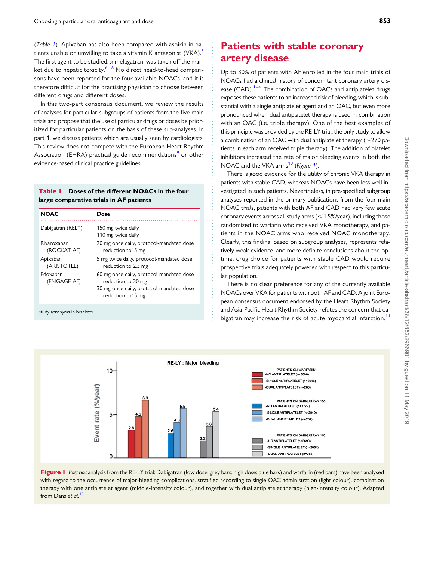(Table 1). Apixaban has also been compared with aspirin in pa-tients unable or unwilling to take a vitamin K antagonist (VKA).<sup>[5](#page-7-0)</sup> The first agent to be studied, ximelagatran, was taken off the market due to hepatic toxicity. $6-8$  $6-8$  $6-8$  No direct head-to-head comparisons have been reported for the four available NOACs, and it is therefore difficult for the practising physician to choose between different drugs and different doses.

In this two-part consensus document, we review the results of analyses for particular subgroups of patients from the five main trials and propose that the use of particular drugs or doses be prioritized for particular patients on the basis of these sub-analyses. In part 1, we discuss patients which are usually seen by cardiologists. This review does not compete with the European Heart Rhythm Association (EHRA) practical guide recommendations<sup>[9](#page-7-0)</sup> or other evidence-based clinical practice guidelines.

#### Table 1 Doses of the different NOACs in the four large comparative trials in AF patients

| <b>NOAC</b>                | Dose                                                                                                                             |
|----------------------------|----------------------------------------------------------------------------------------------------------------------------------|
| Dabigatran (RELY)          | 150 mg twice daily<br>110 mg twice daily                                                                                         |
| Rivaroxaban<br>(ROCKAT-AF) | 20 mg once daily, protocol-mandated dose<br>reduction to 15 mg                                                                   |
| Apixaban<br>(ARISTOTLE)    | 5 mg twice daily, protocol-mandated dose<br>reduction to 2.5 mg                                                                  |
| Fdoxaban<br>(ENGAGE-AF)    | 60 mg once daily, protocol-mandated dose<br>reduction to 30 mg<br>30 mg once daily, protocol-mandated dose<br>reduction to 15 mg |

Study acronyms in brackets.

## Patients with stable coronary artery disease

Up to 30% of patients with AF enrolled in the four main trials of NOACs had a clinical history of concomitant coronary artery disease  $(CAD)$ .<sup>[1](#page-7-0)-[4](#page-7-0)</sup> The combination of OACs and antiplatelet drugs exposes these patients to an increased risk of bleeding, which is substantial with a single antiplatelet agent and an OAC, but even more pronounced when dual antiplatelet therapy is used in combination with an OAC (i.e. triple therapy). One of the best examples of this principle was provided by the RE-LY trial, the only study to allow a combination of an OAC with dual antiplatelet therapy ( $\sim$ 270 patients in each arm received triple therapy). The addition of platelet inhibitors increased the rate of major bleeding events in both the NOAC and the VKA arms<sup>[10](#page-7-0)</sup> (Figure 1).

There is good evidence for the utility of chronic VKA therapy in patients with stable CAD, whereas NOACs have been less well investigated in such patients. Nevertheless, in pre-specified subgroup analyses reported in the primary publications from the four main NOAC trials, patients with both AF and CAD had very few acute coronary events across all study arms  $\left($  < 1.5%/year), including those randomized to warfarin who received VKA monotherapy, and patients in the NOAC arms who received NOAC monotherapy. Clearly, this finding, based on subgroup analyses, represents relatively weak evidence, and more definite conclusions about the optimal drug choice for patients with stable CAD would require prospective trials adequately powered with respect to this particular population.

There is no clear preference for any of the currently available NOACs over VKA for patients with both AF and CAD. A joint European consensus document endorsed by the Heart Rhythm Society and Asia-Pacific Heart Rhythm Society refutes the concern that da-bigatran may increase the risk of acute myocardial infarction.<sup>[11](#page-7-0)</sup>



Figure I Post hoc analysis from the RE-LY trial: Dabigatran (low dose: grey bars; high dose: blue bars) and warfarin (red bars) have been analysed with regard to the occurrence of major-bleeding complications, stratified according to single OAC administration (light colour), combination therapy with one antiplatelet agent (middle-intensity colour), and together with dual antiplatelet therapy (high-intensity colour). Adapted from Dans et al.<sup>[10](#page-7-0)</sup>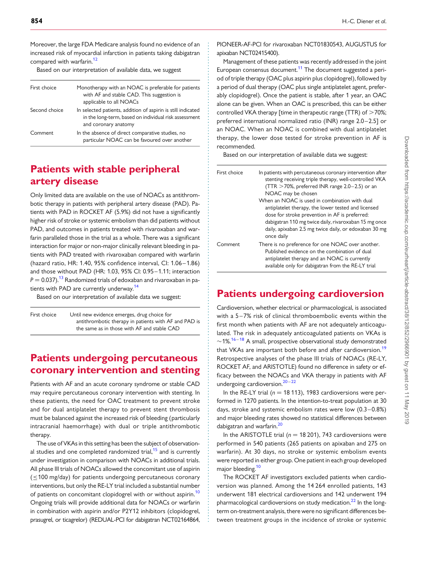Moreover, the large FDA Medicare analysis found no evidence of an increased risk of myocardial infarction in patients taking dabigatran compared with warfarin.<sup>12</sup>

Based on our interpretation of available data, we suggest

| First choice  | Monotherapy with an NOAC is preferable for patients<br>with AF and stable CAD. This suggestion is<br>applicable to all NOACs                  |
|---------------|-----------------------------------------------------------------------------------------------------------------------------------------------|
| Second choice | In selected patients, addition of aspirin is still indicated<br>in the long-term, based on individual risk assessment<br>and coronary anatomy |
| Comment       | In the absence of direct comparative studies, no<br>particular NOAC can be favoured over another                                              |

### Patients with stable peripheral artery disease

Only limited data are available on the use of NOACs as antithrombotic therapy in patients with peripheral artery disease (PAD). Patients with PAD in ROCKET AF (5.9%) did not have a significantly higher risk of stroke or systemic embolism than did patients without PAD, and outcomes in patients treated with rivaroxaban and warfarin paralleled those in the trial as a whole. There was a significant interaction for major or non-major clinically relevant bleeding in patients with PAD treated with rivaroxaban compared with warfarin (hazard ratio, HR: 1.40, 95% confidence interval, CI: 1.06 – 1.86) and those without PAD (HR: 1.03, 95% CI: 0.95 – 1.11; interaction  $P = 0.037$ ).<sup>[13](#page-8-0)</sup> Randomized trials of edoxaban and rivaroxaban in pa-tients with PAD are currently underway.<sup>[14](#page-8-0)</sup>

Based on our interpretation of available data we suggest:

First choice Until new evidence emerges, drug choice for antithrombotic therapy in patients with AF and PAD is the same as in those with AF and stable CAD

#### Patients undergoing percutaneous coronary intervention and stenting

Patients with AF and an acute coronary syndrome or stable CAD may require percutaneous coronary intervention with stenting. In these patients, the need for OAC treatment to prevent stroke and for dual antiplatelet therapy to prevent stent thrombosis must be balanced against the increased risk of bleeding (particularly intracranial haemorrhage) with dual or triple antithrombotic therapy.

The use of VKAs in this setting has been the subject of observational studies and one completed randomized trial, $15$  and is currently under investigation in comparison with NOACs in additional trials. All phase III trials of NOACs allowed the concomitant use of aspirin (≤100 mg/day) for patients undergoing percutaneous coronary interventions, but only the RE-LY trial included a substantial number of patients on concomitant clopidogrel with or without aspirin.<sup>[10](#page-7-0)</sup> Ongoing trials will provide additional data for NOACs or warfarin in combination with aspirin and/or P2Y12 inhibitors (clopidogrel, prasugrel, or ticagrelor) (REDUAL-PCI for dabigatran NCT02164864,

PIONEER-AF-PCI for rivaroxaban NCT01830543, AUGUSTUS for apixaban NCT02415400).

Management of these patients was recently addressed in the joint European consensus document.<sup>[11](#page-7-0)</sup> The document suggested a period of triple therapy (OAC plus aspirin plus clopidogrel), followed by a period of dual therapy (OAC plus single antiplatelet agent, preferably clopidogrel). Once the patient is stable, after 1 year, an OAC alone can be given. When an OAC is prescribed, this can be either controlled VKA therapy [time in therapeutic range (TTR) of  $>70\%$ ; preferred international normalized ratio (INR) range 2.0-2.5] or an NOAC. When an NOAC is combined with dual antiplatelet therapy, the lower dose tested for stroke prevention in AF is recommended.

Based on our interpretation of available data we suggest:

| First choice | In patients with percutaneous coronary intervention after<br>stenting receiving triple therapy, well-controlled VKA<br>$(TTR > 70\%$ , preferred INR range 2.0-2.5) or an<br>NOAC may be chosen<br>When an NOAC is used in combination with dual<br>antiplatelet therapy, the lower tested and licensed<br>dose for stroke prevention in AF is preferred:<br>dabigatran 110 mg twice daily, rivaroxaban 15 mg once<br>daily, apixaban 2.5 mg twice daily, or edoxaban 30 mg<br>once daily |
|--------------|-------------------------------------------------------------------------------------------------------------------------------------------------------------------------------------------------------------------------------------------------------------------------------------------------------------------------------------------------------------------------------------------------------------------------------------------------------------------------------------------|
| Comment      | There is no preference for one NOAC over another.<br>Published evidence on the combination of dual<br>antiplatelet therapy and an NOAC is currently<br>available only for dabigatran from the RE-LY trial                                                                                                                                                                                                                                                                                 |

#### Patients undergoing cardioversion

Cardioversion, whether electrical or pharmacological, is associated with a 5–7% risk of clinical thromboembolic events within the first month when patients with AF are not adequately anticoagulated. The risk in adequately anticoagulated patients on VKAs is  $\sim$  1%.<sup>[16](#page-8-0)–[18](#page-8-0)</sup> A small, prospective observational study demonstrated that VKAs are important both before and after cardioversion.<sup>[19](#page-8-0)</sup> Retrospective analyses of the phase III trials of NOACs (RE-LY, ROCKET AF, and ARISTOTLE) found no difference in safety or efficacy between the NOACs and VKA therapy in patients with AF undergoing cardioversion. $20 - 22$  $20 - 22$  $20 - 22$ 

In the RE-LY trial ( $n = 18 113$ ), 1983 cardioversions were performed in 1270 patients. In the intention-to-treat population at 30 days, stroke and systemic embolism rates were low (0.3–0.8%) and major bleeding rates showed no statistical differences between dabigatran and warfarin.<sup>20</sup>

In the ARISTOTLE trial ( $n = 18201$ ), 743 cardioversions were performed in 540 patients (265 patients on apixaban and 275 on warfarin). At 30 days, no stroke or systemic embolism events were reported in either group. One patient in each group developed major bleeding.<sup>10</sup>

The ROCKET AF investigators excluded patients when cardioversion was planned. Among the 14 264 enrolled patients, 143 underwent 181 electrical cardioversions and 142 underwent 194 pharmacological cardioversions on study medication.<sup>[22](#page-8-0)</sup> In the longterm on-treatment analysis, there were no significant differences between treatment groups in the incidence of stroke or systemic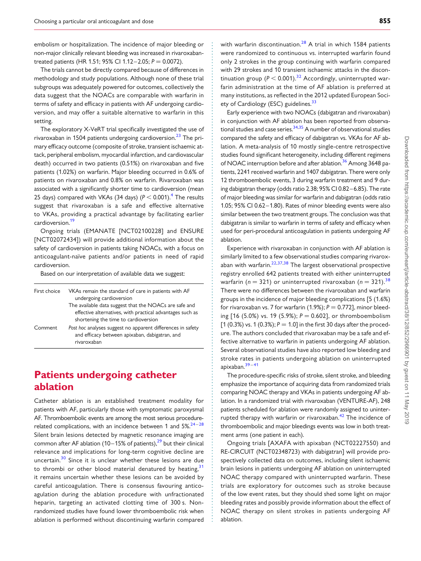embolism or hospitalization. The incidence of major bleeding or non-major clinically relevant bleeding was increased in rivaroxabantreated patients (HR 1.51; 95% CI 1.12-2.05;  $P = 0.0072$ ).

The trials cannot be directly compared because of differences in methodology and study populations. Although none of these trial subgroups was adequately powered for outcomes, collectively the data suggest that the NOACs are comparable with warfarin in terms of safety and efficacy in patients with AF undergoing cardioversion, and may offer a suitable alternative to warfarin in this setting.

The exploratory X-VeRT trial specifically investigated the use of rivaroxaban in 1504 patients undergoing cardioversion.<sup>[23](#page-8-0)</sup> The primary efficacy outcome (composite of stroke, transient ischaemic attack, peripheral embolism, myocardial infarction, and cardiovascular death) occurred in two patients (0.51%) on rivaroxaban and five patients (1.02%) on warfarin. Major bleeding occurred in 0.6% of patients on rivaroxaban and 0.8% on warfarin. Rivaroxaban was associated with a significantly shorter time to cardioversion (mean 25 days) compared with VKAs (3[4](#page-7-0) days) ( $P < 0.001$ ).<sup>4</sup> The results suggest that rivaroxaban is a safe and effective alternative to VKAs, providing a practical advantage by facilitating earlier cardioversion.<sup>[19](#page-8-0)</sup>

Ongoing trials (EMANATE [NCT02100228] and ENSURE [NCT02072434]) will provide additional information about the safety of cardioversion in patients taking NOACs, with a focus on anticoagulant-naïve patients and/or patients in need of rapid cardioversion.

Based on our interpretation of available data we suggest:

| First choice | VKAs remain the standard of care in patients with AF<br>undergoing cardioversion<br>The available data suggest that the NOACs are safe and<br>effective alternatives, with practical advantages such as<br>shortening the time to cardioversion |
|--------------|-------------------------------------------------------------------------------------------------------------------------------------------------------------------------------------------------------------------------------------------------|
| Comment      | Post hoc analyses suggest no apparent differences in safety<br>and efficacy between apixaban, dabigatran, and<br>rivaroxaban                                                                                                                    |

### Patients undergoing catheter ablation

Catheter ablation is an established treatment modality for patients with AF, particularly those with symptomatic paroxysmal AF. Thromboembolic events are among the most serious procedurerelated complications, with an incidence between 1 and  $5\%^{24-28}$  $5\%^{24-28}$  $5\%^{24-28}$  $5\%^{24-28}$  $5\%^{24-28}$ Silent brain lesions detected by magnetic resonance imaging are common after AF ablation (10–15% of patients), $^{29}$  but their clinical relevance and implications for long-term cognitive decline are uncertain.<sup>[30](#page-8-0)</sup> Since it is unclear whether these lesions are due to thrombi or other blood material denatured by heating,  $31$ it remains uncertain whether these lesions can be avoided by careful anticoagulation. There is consensus favouring anticoagulation during the ablation procedure with unfractionated heparin, targeting an activated clotting time of 300 s. Nonrandomized studies have found lower thromboembolic risk when ablation is performed without discontinuing warfarin compared with warfarin discontinuation.<sup>[28](#page-8-0)</sup> A trial in which 1584 patients were randomized to continuous vs. interrupted warfarin found only 2 strokes in the group continuing with warfarin compared with 29 strokes and 10 transient ischaemic attacks in the discontinuation group ( $P < 0.001$ ).<sup>[32](#page-8-0)</sup> Accordingly, uninterrupted warfarin administration at the time of AF ablation is preferred at many institutions, as reflected in the 2012 updated European Soci-ety of Cardiology (ESC) guidelines.<sup>[33](#page-8-0)</sup>

Early experience with two NOACs (dabigatran and rivaroxaban) in conjunction with AF ablation has been reported from observational studies and case series. $34,35$  $34,35$  $34,35$  A number of observational studies compared the safety and efficacy of dabigatran vs. VKAs for AF ablation. A meta-analysis of 10 mostly single-centre retrospective studies found significant heterogeneity, including different regimens of NOAC interruption before and after ablation.<sup>[36](#page-8-0)</sup> Among 3648 patients, 2241 received warfarin and 1407 dabigatran. There were only 12 thromboembolic events, 3 during warfarin treatment and 9 during dabigatran therapy (odds ratio 2.38; 95% CI 0.82–6.85). The rate of major bleeding was similar for warfarin and dabigatran (odds ratio 1.05; 95% CI 0.62–1.80). Rates of minor bleeding events were also similar between the two treatment groups. The conclusion was that dabigatran is similar to warfarin in terms of safety and efficacy when used for peri-procedural anticoagulation in patients undergoing AF ablation.

Experience with rivaroxaban in conjunction with AF ablation is similarly limited to a few observational studies comparing rivaroxaban with warfarin.[22](#page-8-0),[37,38](#page-8-0) The largest observational prospective registry enrolled 642 patients treated with either uninterrupted warfarin ( $n = 321$ ) or uninterrupted rivaroxaban ( $n = 321$ ).<sup>[38](#page-8-0)</sup> There were no differences between the rivaroxaban and warfarin groups in the incidence of major bleeding complications [5 (1.6%) for rivaroxaban vs. 7 for warfarin (1.9%);  $P = 0.772$ ], minor bleeding  $[16 (5.0%)$  vs. 19 (5.9%);  $P = 0.602$ , or thromboembolism [1 (0.3%) vs. 1 (0.3%);  $P = 1.0$ ] in the first 30 days after the procedure. The authors concluded that rivaroxaban may be a safe and effective alternative to warfarin in patients undergoing AF ablation. Several observational studies have also reported low bleeding and stroke rates in patients undergoing ablation on uninterrupted apixaban. [39](#page-8-0)-[41](#page-8-0)

The procedure-specific risks of stroke, silent stroke, and bleeding emphasize the importance of acquiring data from randomized trials comparing NOAC therapy and VKAs in patients undergoing AF ablation. In a randomized trial with rivaroxaban (VENTURE-AF), 248 patients scheduled for ablation were randomly assigned to uninterrupted therapy with warfarin or rivaroxaban. $42$  The incidence of thromboembolic and major bleedings events was low in both treatment arms (one patient in each).

Ongoing trials [AXAFA with apixaban (NCT02227550) and RE-CIRCUIT (NCT02348723) with dabigatran] will provide prospectively collected data on outcomes, including silent ischaemic brain lesions in patients undergoing AF ablation on uninterrupted NOAC therapy compared with uninterrupted warfarin. These trials are exploratory for outcomes such as stroke because of the low event rates, but they should shed some light on major bleeding rates and possibly provide information about the effect of NOAC therapy on silent strokes in patients undergoing AF ablation.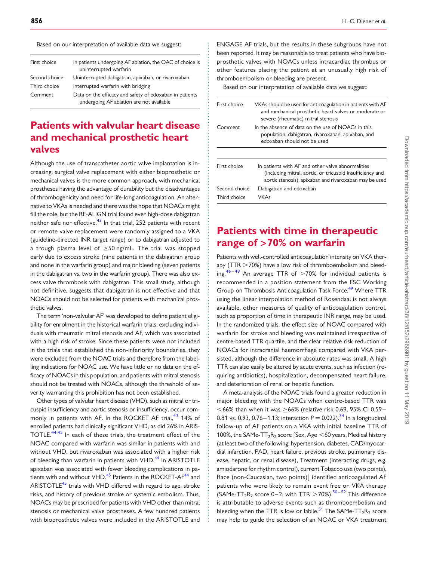Based on our interpretation of available data we suggest:

| First choice  | In patients undergoing AF ablation, the OAC of choice is<br>uninterrupted warfarin                  |
|---------------|-----------------------------------------------------------------------------------------------------|
| Second choice | Uninterrupted dabigatran, apixaban, or rivaroxaban.                                                 |
| Third choice  | Interrupted warfarin with bridging                                                                  |
| Comment       | Data on the efficacy and safety of edoxaban in patients<br>undergoing AF ablation are not available |

## Patients with valvular heart disease and mechanical prosthetic heart valves

Although the use of transcatheter aortic valve implantation is increasing, surgical valve replacement with either bioprosthetic or mechanical valves is the more common approach, with mechanical prostheses having the advantage of durability but the disadvantages of thrombogenicity and need for life-long anticoagulation. An alternative to VKAs is needed and there was the hope that NOACs might fill the role, but the RE-ALIGN trial found even high-dose dabigatran neither safe nor effective.<sup>[43](#page-9-0)</sup> In that trial, 252 patients with recent or remote valve replacement were randomly assigned to a VKA (guideline-directed INR target range) or to dabigatran adjusted to a trough plasma level of  $>50$  ng/mL. The trial was stopped early due to excess stroke (nine patients in the dabigatran group and none in the warfarin group) and major bleeding (seven patients in the dabigatran vs. two in the warfarin group). There was also excess valve thrombosis with dabigatran. This small study, although not definitive, suggests that dabigatran is not effective and that NOACs should not be selected for patients with mechanical prosthetic valves.

The term 'non-valvular AF' was developed to define patient eligibility for enrolment in the historical warfarin trials, excluding individuals with rheumatic mitral stenosis and AF, which was associated with a high risk of stroke. Since these patients were not included in the trials that established the non-inferiority boundaries, they were excluded from the NOAC trials and therefore from the labelling indications for NOAC use. We have little or no data on the efficacy of NOACs in this population, and patients with mitral stenosis should not be treated with NOACs, although the threshold of severity warranting this prohibition has not been established.

Other types of valvular heart disease (VHD), such as mitral or tricuspid insufficiency and aortic stenosis or insufficiency, occur com-monly in patients with AF. In the ROCKET AF trial,<sup>[43](#page-9-0)</sup> 14% of enrolled patients had clinically significant VHD, as did 26% in ARIS-TOTLE.[44](#page-9-0),[45](#page-9-0) In each of these trials, the treatment effect of the NOAC compared with warfarin was similar in patients with and without VHD, but rivaroxaban was associated with a higher risk of bleeding than warfarin in patients with VHD.<sup>[44](#page-9-0)</sup> In ARISTOTLE apixaban was associated with fewer bleeding complications in pa-tients with and without VHD.<sup>45</sup> Patients in the ROCKET-AF<sup>[44](#page-9-0)</sup> and ARISTOTLE $45$  trials with VHD differed with regard to age, stroke risks, and history of previous stroke or systemic embolism. Thus, NOACs may be prescribed for patients with VHD other than mitral stenosis or mechanical valve prostheses. A few hundred patients with bioprosthetic valves were included in the ARISTOTLE and

ENGAGE AF trials, but the results in these subgroups have not been reported. It may be reasonable to treat patients who have bioprosthetic valves with NOACs unless intracardiac thrombus or other features placing the patient at an unusually high risk of thromboembolism or bleeding are present.

Based on our interpretation of available data we suggest:

| First choice<br>severe (rheumatic) mitral stenosis<br>Comment<br>In the absence of data on the use of NOACs in this<br>population, dabigatran, rivaroxaban, apixaban, and<br>edoxaban should not be used<br>First choice<br>In patients with AF and other valve abnormalities<br>Second choice<br>Dabigatran and edoxaban |              |                                                                                                                      |
|---------------------------------------------------------------------------------------------------------------------------------------------------------------------------------------------------------------------------------------------------------------------------------------------------------------------------|--------------|----------------------------------------------------------------------------------------------------------------------|
|                                                                                                                                                                                                                                                                                                                           |              | VKAs should be used for anticoagulation in patients with AF<br>and mechanical prosthetic heart valves or moderate or |
|                                                                                                                                                                                                                                                                                                                           |              |                                                                                                                      |
|                                                                                                                                                                                                                                                                                                                           |              |                                                                                                                      |
|                                                                                                                                                                                                                                                                                                                           |              | (including mitral, aortic, or tricuspid insufficiency and<br>aortic stenosis), apixaban and rivaroxaban may be used  |
|                                                                                                                                                                                                                                                                                                                           |              |                                                                                                                      |
|                                                                                                                                                                                                                                                                                                                           | Third choice | <b>VKAs</b>                                                                                                          |

# Patients with time in therapeutic range of >70% on warfarin

Patients with well-controlled anticoagulation intensity on VKA therapy (TTR  $>70\%$ ) have a low risk of thromboembolism and bleed-ing.<sup>[46](#page-9-0)-[48](#page-9-0)</sup> An average TTR of  $>70\%$  for individual patients is recommended in a position statement from the ESC Working Group on Thrombosis Anticoagulation Task Force.<sup>[49](#page-9-0)</sup> Where TTR using the linear interpolation method of Rosendaal is not always available, other measures of quality of anticoagulation control, such as proportion of time in therapeutic INR range, may be used. In the randomized trials, the effect size of NOAC compared with warfarin for stroke and bleeding was maintained irrespective of centre-based TTR quartile, and the clear relative risk reduction of NOACs for intracranial haemorrhage compared with VKA persisted, although the difference in absolute rates was small. A high TTR can also easily be altered by acute events, such as infection (requiring antibiotics), hospitalization, decompensated heart failure, and deterioration of renal or hepatic function.

A meta-analysis of the NOAC trials found a greater reduction in major bleeding with the NOACs when centre-based TTR was <66% than when it was ≥66% (relative risk 0.69, 95% CI 0.59 – 0.81 vs. 0.93, 0.76–1.13; interaction  $P = 0.022$ ).<sup>[34](#page-8-0)</sup> In a longitudinal follow-up of AF patients on a VKA with initial baseline TTR of 100%, the SAMe-TT<sub>2</sub>R<sub>2</sub> score [Sex, Age  $<$  60 years, Medical history (at least two of the following: hypertension, diabetes, CAD/myocardial infarction, PAD, heart failure, previous stroke, pulmonary disease, hepatic, or renal disease), Treatment (interacting drugs, e.g. amiodarone for rhythm control), current Tobacco use (two points), Race (non-Caucasian, two points)] identified anticoagulated AF patients who were likely to remain event free on VKA therapy (SAMe-TT<sub>2</sub>R<sub>2</sub> score 0-2, with TTR  $>70\%$ ).<sup>[50](#page-9-0)-[52](#page-9-0)</sup> This difference is attributable to adverse events such as thromboembolism and bleeding when the TTR is low or labile.<sup>[51](#page-9-0)</sup> The SAMe-TT<sub>2</sub>R<sub>2</sub> score may help to guide the selection of an NOAC or VKA treatment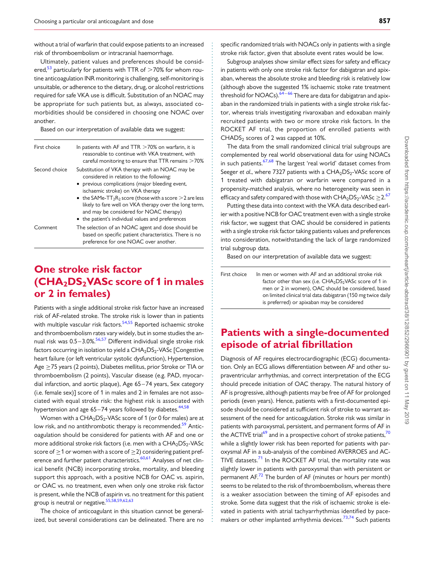without a trial of warfarin that could expose patients to an increased risk of thromboembolism or intracranial haemorrhage.

Ultimately, patient values and preferences should be considered, $53$  particularly for patients with TTR of  $>70\%$  for whom routine anticoagulation INR monitoring is challenging, self-monitoring is unsuitable, or adherence to the dietary, drug, or alcohol restrictions required for safe VKA use is difficult. Substitution of an NOAC may be appropriate for such patients but, as always, associated comorbidities should be considered in choosing one NOAC over another.

Based on our interpretation of available data we suggest:

| First choice  | In patients with AF and TTR $>70\%$ on warfarin, it is<br>reasonable to continue with VKA treatment, with<br>careful monitoring to ensure that TTR remains $>70\%$                                                                                                                                                                                                                                                                 |
|---------------|------------------------------------------------------------------------------------------------------------------------------------------------------------------------------------------------------------------------------------------------------------------------------------------------------------------------------------------------------------------------------------------------------------------------------------|
| Second choice | Substitution of VKA therapy with an NOAC may be<br>considered in relation to the following:<br>• previous complications (major bleeding event,<br>ischaemic stroke) on VKA therapy<br>• the SAMe-TT <sub>2</sub> R <sub>2</sub> score (those with a score $>$ 2 are less<br>likely to fare well on VKA therapy over the long term,<br>and may be considered for NOAC therapy)<br>• the patient's individual values and preferences |
| Comment       | The selection of an NOAC agent and dose should be<br>based on specific patient characteristics. There is no<br>preference for one NOAC over another.                                                                                                                                                                                                                                                                               |

# One stroke risk factor  $(CHA<sub>2</sub>DS<sub>2</sub>VASc score of 1 in males)$ or 2 in females)

Patients with a single additional stroke risk factor have an increased risk of AF-related stroke. The stroke risk is lower than in patients with multiple vascular risk factors.<sup>[54,55](#page-9-0)</sup> Reported ischaemic stroke and thromboembolism rates vary widely, but in some studies the annual risk was  $0.5 - 3.0\%$ .<sup>[56](#page-9-0),[57](#page-9-0)</sup> Different individual single stroke risk factors occurring in isolation to yield a CHA<sub>2</sub>DS<sub>2</sub>-VASc [Congestive heart failure (or left ventricular systolic dysfunction), Hypertension, Age ≥75 years (2 points), Diabetes mellitus, prior Stroke or TIA or thromboembolism (2 points), Vascular disease (e.g. PAD, myocardial infarction, and aortic plaque), Age 65 – 74 years, Sex category (i.e. female sex)] score of 1 in males and 2 in females are not associated with equal stroke risk: the highest risk is associated with hypertension and age  $65 - 74$  years followed by diabetes.<sup>[44](#page-9-0),[58](#page-9-0)</sup>

Women with a  $CHA<sub>2</sub>DS<sub>2</sub>$ -VASc score of 1 (or 0 for males) are at low risk, and no antithrombotic therapy is recommended.<sup>[59](#page-9-0)</sup> Anticoagulation should be considered for patients with AF and one or more additional stroke risk factors (i.e. men with a  $CHA<sub>2</sub>DS<sub>2</sub>$ -VASc score of  $\geq$  1 or women with a score of  $\geq$  2) considering patient pref-erence and further patient characteristics.<sup>[60](#page-9-0),[61](#page-9-0)</sup> Analyses of net clinical benefit (NCB) incorporating stroke, mortality, and bleeding support this approach, with a positive NCB for OAC vs. aspirin, or OAC vs. no treatment, even when only one stroke risk factor is present, while the NCB of aspirin vs. no treatment for this patient group is neutral or negative.<sup>[55](#page-9-0),[58](#page-9-0),[59,62,63](#page-9-0)</sup>

The choice of anticoagulant in this situation cannot be generalized, but several considerations can be delineated. There are no

specific randomized trials with NOACs only in patients with a single stroke risk factor, given that absolute event rates would be low.

Subgroup analyses show similar effect sizes for safety and efficacy in patients with only one stroke risk factor for dabigatran and apixaban, whereas the absolute stroke and bleeding risk is relatively low (although above the suggested 1% ischaemic stoke rate treatment threshold for NOACs).  $64 - 66$  $64 - 66$  $64 - 66$  There are data for dabigatran and apixaban in the randomized trials in patients with a single stroke risk factor, whereas trials investigating rivaroxaban and edoxaban mainly recruited patients with two or more stroke risk factors. In the ROCKET AF trial, the proportion of enrolled patients with  $CHADS<sub>2</sub>$  scores of 2 was capped at 10%.

The data from the small randomized clinical trial subgroups are complemented by real world observational data for using NOACs in such patients.<sup>[67,68](#page-9-0)</sup> The largest 'real world' dataset comes from Seeger et al., where 7327 patients with a CHA<sub>2</sub>DS<sub>2</sub>-VASc score of 1 treated with dabigatran or warfarin were compared in a propensity-matched analysis, where no heterogeneity was seen in efficacy and safety compared with those with CHA<sub>2</sub>DS<sub>2</sub>-VASc  $\geq$  2.<sup>[67](#page-9-0)</sup>

Putting these data into context with the VKA data described earlier with a positive NCB for OAC treatment even with a single stroke risk factor, we suggest that OAC should be considered in patients with a single stroke risk factor taking patients values and preferences into consideration, notwithstanding the lack of large randomized trial subgroup data.

Based on our interpretation of available data we suggest:

First choice In men or women with AF and an additional stroke risk factor other than sex (i.e.  $CHA<sub>2</sub>DS<sub>2</sub> VASc$  score of 1 in men or 2 in women), OAC should be considered, based on limited clinical trial data dabigatran (150 mg twice daily is preferred) or apixaban may be considered

### Patients with a single-documented episode of atrial fibrillation

Diagnosis of AF requires electrocardiographic (ECG) documentation. Only an ECG allows differentiation between AF and other supraventricular arrhythmias, and correct interpretation of the ECG should precede initiation of OAC therapy. The natural history of AF is progressive, although patients may be free of AF for prolonged periods (even years). Hence, patients with a first-documented episode should be considered at sufficient risk of stroke to warrant assessment of the need for anticoagulation. Stroke risk was similar in patients with paroxysmal, persistent, and permanent forms of AF in the ACTIVE trial<sup>[69](#page-9-0)</sup> and in a prospective cohort of stroke patients,<sup>[70](#page-9-0)</sup> while a slightly lower risk has been reported for patients with paroxysmal AF in a sub-analysis of the combined AVERROES and AC-TIVE datasets.<sup>[71](#page-9-0)</sup> In the ROCKET AF trial, the mortality rate was slightly lower in patients with paroxysmal than with persistent or permanent AF.<sup>[72](#page-9-0)</sup> The burden of AF (minutes or hours per month) seems to be related to the risk of thromboembolism, whereas there is a weaker association between the timing of AF episodes and stroke. Some data suggest that the risk of ischaemic stroke is elevated in patients with atrial tachyarrhythmias identified by pace-makers or other implanted arrhythmia devices.<sup>[73](#page-9-0),[74](#page-9-0)</sup> Such patients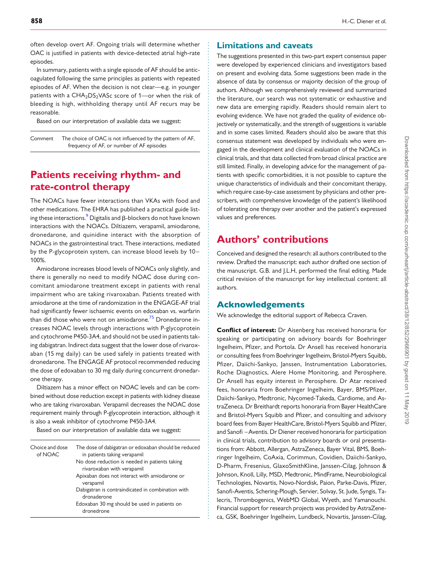often develop overt AF. Ongoing trials will determine whether OAC is justified in patients with device-detected atrial high-rate episodes.

In summary, patients with a single episode of AF should be anticoagulated following the same principles as patients with repeated episodes of AF. When the decision is not clear—e.g. in younger patients with a  $CHA<sub>2</sub>DS<sub>2</sub> VASc$  score of 1—or when the risk of bleeding is high, withholding therapy until AF recurs may be reasonable.

Based on our interpretation of available data we suggest:

Comment The choice of OAC is not influenced by the pattern of AF, frequency of AF, or number of AF episodes

#### Patients receiving rhythm- and rate-control therapy

The NOACs have fewer interactions than VKAs with food and other medications. The EHRA has published a practical guide list-ing these interactions.<sup>[9](#page-7-0)</sup> Digitalis and  $\beta$ -blockers do not have known interactions with the NOACs. Diltiazem, verapamil, amiodarone, dronedarone, and quinidine interact with the absorption of NOACs in the gastrointestinal tract. These interactions, mediated by the P-glycoprotein system, can increase blood levels by 10 – 100%.

Amiodarone increases blood levels of NOACs only slightly, and there is generally no need to modify NOAC dose during concomitant amiodarone treatment except in patients with renal impairment who are taking rivaroxaban. Patients treated with amiodarone at the time of randomization in the ENGAGE-AF trial had significantly fewer ischaemic events on edoxaban vs. warfarin than did those who were not on amiodarone.<sup>[75](#page-9-0)</sup> Dronedarone increases NOAC levels through interactions with P-glycoprotein and cytochrome P450-3A4, and should not be used in patients taking dabigatran. Indirect data suggest that the lower dose of rivaroxaban (15 mg daily) can be used safely in patients treated with dronedarone. The ENGAGE AF protocol recommended reducing the dose of edoxaban to 30 mg daily during concurrent dronedarone therapy.

Diltiazem has a minor effect on NOAC levels and can be combined without dose reduction except in patients with kidney disease who are taking rivaroxaban. Verapamil decreases the NOAC dose requirement mainly through P-glycoprotein interaction, although it is also a weak inhibitor of cytochrome P450-3A4.

Based on our interpretation of available data we suggest:

| Choice and dose<br>of NOAC | The dose of dabigatran or edoxaban should be reduced<br>in patients taking verapamil |
|----------------------------|--------------------------------------------------------------------------------------|
|                            | No dose reduction is needed in patients taking<br>rivaroxaban with verapamil         |
|                            | Apixaban does not interact with amiodarone or<br>verapamil                           |
|                            | Dabigatran is contraindicated in combination with<br>dronaderone                     |
|                            | Edoxaban 30 mg should be used in patients on<br>dronedrone                           |

#### Limitations and caveats

The suggestions presented in this two-part expert consensus paper were developed by experienced clinicians and investigators based on present and evolving data. Some suggestions been made in the absence of data by consensus or majority decision of the group of authors. Although we comprehensively reviewed and summarized the literature, our search was not systematic or exhaustive and new data are emerging rapidly. Readers should remain alert to evolving evidence. We have not graded the quality of evidence objectively or systematically, and the strength of suggestions is variable and in some cases limited. Readers should also be aware that this consensus statement was developed by individuals who were engaged in the development and clinical evaluation of the NOACs in clinical trials, and that data collected from broad clinical practice are still limited. Finally, in developing advice for the management of patients with specific comorbidities, it is not possible to capture the unique characteristics of individuals and their concomitant therapy, which require case-by-case assessment by physicians and other prescribers, with comprehensive knowledge of the patient's likelihood of tolerating one therapy over another and the patient's expressed values and preferences.

#### Authors' contributions

Conceived and designed the research: all authors contributed to the review. Drafted the manuscript: each author drafted one section of the manuscript. G.B. and J.L.H, performed the final editing. Made critical revision of the manuscript for key intellectual content: all authors.

#### Acknowledgements

We acknowledge the editorial support of Rebecca Craven.

Conflict of interest: Dr Aisenberg has received honoraria for speaking or participating on advisory boards for Boehringer Ingelheim, Pfizer, and Portola. Dr Ansell has received honoraria or consulting fees from Boehringer Ingelheim, Bristol-Myers Squibb, Pfizer, Daiichi-Sankyo, Janssen, Instrumentation Laboratories, Roche Diagnostics, Alere Home Monitoring, and Perosphere. Dr Ansell has equity interest in Perosphere. Dr Atar received fees, honoraria from Boehringer Ingelheim, Bayer, BMS/Pfizer, Daiichi-Sankyo, Medtronic, Nycomed-Takeda, Cardiome, and AstraZeneca. Dr Breithardt reports honoraria from Bayer HealthCare and Bristol-Myers Squibb and Pfizer, and consulting and advisory board fees from Bayer HealthCare, Bristol-Myers Squibb and Pfizer, and Sanofi –Aventis. Dr Diener received honoraria for participation in clinical trials, contribution to advisory boards or oral presentations from: Abbott, Allergan, AstraZeneca, Bayer Vital, BMS, Boehringer Ingelheim, CoAxia, Corimmun, Covidien, Daiichi-Sankyo, D-Pharm, Fresenius, GlaxoSmithKline, Janssen-Cilag, Johnson & Johnson, Knoll, Lilly, MSD, Medtronic, MindFrame, Neurobiological Technologies, Novartis, Novo-Nordisk, Paion, Parke-Davis, Pfizer, Sanofi-Aventis, Schering-Plough, Servier, Solvay, St. Jude, Syngis, Talecris, Thrombogenics, WebMD Global, Wyeth, and Yamanouchi. Financial support for research projects was provided by AstraZeneca, GSK, Boehringer Ingelheim, Lundbeck, Novartis, Janssen-Cilag,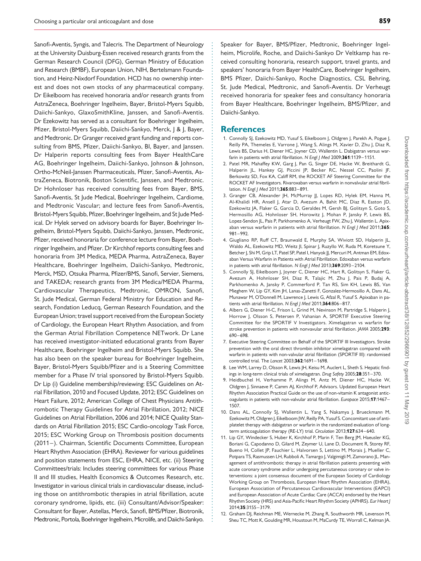<span id="page-7-0"></span>Sanofi-Aventis, Syngis, and Talecris. The Department of Neurology at the University Duisburg-Essen received research grants from the German Research Council (DFG), German Ministry of Education and Research (BMBF), European Union, NIH, Bertelsmann Foundation, and Heinz-Nixdorf Foundation. HCD has no ownership interest and does not own stocks of any pharmaceutical company. Dr Eikelboom has received honoraria and/or research grants from AstraZeneca, Boehringer Ingelheim, Bayer, Bristol-Myers Squibb, Daiichi-Sankyo, GlaxoSmithKline, Janssen, and Sanofi-Aventis. Dr Ezekowitz has served as a consultant for Boehringer Ingelheim, Pfizer, Bristol-Myers Squibb, Daiichi-Sankyo, Merck, J & J, Bayer, and Medtronic. Dr Granger received grant funding and reports consulting from BMS, Pfizer, Daiichi-Sankyo, BI, Bayer, and Janssen. Dr Halperin reports consulting fees from Bayer HealthCare AG, Boehringer Ingelheim, Daiichi-Sankyo, Johnson & Johnson, Ortho-McNeil-Janssen Pharmaceuticals, Pfizer, Sanofi-Aventis, AstraZeneca, Biotronik, Boston Scientific, Janssen, and Medtronic. Dr Hohnloser has received consulting fees from Bayer, BMS, Sanofi-Aventis, St Jude Medical, Boehringer Ingelheim, Cardiome, and Medtronic Vascular; and lecture fees from Sanofi-Aventis, Bristol-Myers Squibb, Pfizer, Boehringer Ingelheim, and St Jude Medical. Dr Hylek served on advisory boards for Bayer, Boehringer Ingelheim, Bristol-Myers Squibb, Daiichi-Sankyo, Janssen, Medtronic, Pfizer, received honoraria for conference lecture from Bayer, Boehringer Ingelheim, and Pfizer. Dr Kirchhof reports consulting fees and honoraria from 3M Medica, MEDA Pharma, AstraZeneca, Bayer Healthcare, Boehringer Ingelheim, Daiichi-Sankyo, Medtronic, Merck, MSD, Otsuka Pharma, Pfizer/BMS, Sanofi, Servier, Siemens, and TAKEDA; research grants from 3M Medica/MEDA Pharma, Cardiovascular Therapeutics, Medtronic, OMRON, Sanofi, St. Jude Medical, German Federal Ministry for Education and Research, Fondation Leducq, German Research Foundation, and the European Union; travel support received from the European Society of Cardiology, the European Heart Rhythm Association, and from the German Atrial Fibrillation Competence NETwork. Dr Lane has received investigator-initiated educational grants from Bayer Healthcare, Boehringer Ingelheim and Bristol-Myers Squibb. She has also been on the speaker bureau for Boehringer Ingelheim, Bayer, Bristol-Myers Squibb/Pfizer and is a Steering Committee member for a Phase IV trial sponsored by Bristol-Myers Squibb. Dr Lip (i) Guideline membership/reviewing: ESC Guidelines on Atrial Fibrillation, 2010 and Focused Update, 2012; ESC Guidelines on Heart Failure, 2012; American College of Chest Physicians Antithrombotic Therapy Guidelines for Atrial Fibrillation, 2012; NICE Guidelines on Atrial Fibrillation, 2006 and 2014; NICE Quality Standards on Atrial Fibrillation 2015; ESC Cardio-oncology Task Force, 2015; ESC Working Group on Thrombosis position documents (2011-). Chairman, Scientific Documents Committee, European Heart Rhythm Association (EHRA). Reviewer for various guidelines and position statements from ESC, EHRA, NICE, etc. (ii) Steering Committees/trials: Includes steering committees for various Phase II and III studies, Health Economics & Outcomes Research, etc. Investigator in various clinical trials in cardiovascular disease, including those on antithrombotic therapies in atrial fibrillation, acute coronary syndrome, lipids, etc. (iii) Consultant/Advisor/Speaker: Consultant for Bayer, Astellas, Merck, Sanofi, BMS/Pfizer, Biotronik, Medtronic, Portola, Boehringer Ingelheim, Microlife, and Daiichi-Sankyo.

Downloaded from https://academic.oup.com/eurheart/jarticle-abstract/38/12/852/2966901 by guest on 11 May 2019 Downloaded from https://academic.oup.com/eurheartj/article-abstract/38/12/852/2966901 by guest on 11 May 2019

Speaker for Bayer, BMS/Pfizer, Medtronic, Boehringer Ingelheim, Microlife, Roche, and Daiichi-Sankyo Dr Veltkamp has received consulting honoraria, research support, travel grants, and speakers' honoraria from Bayer HealthCare, Boehringer Ingelheim, BMS Pfizer, Daiichi-Sankyo, Roche Diagnostics, CSL Behring, St. Jude Medical, Medtronic, and Sanofi-Aventis. Dr Verheugt received honoraria for speaker fees and consultancy honoraria from Bayer Healthcare, Boehringer Ingelheim, BMS/Pfizer, and Daiichi-Sankyo.

#### **References**

- 1. Connolly SJ, Ezekowitz MD, Yusuf S, Eikelboom J, Oldgren J, Parekh A, Pogue J, Reilly PA, Themeles E, Varrone J, Wang S, Alings M, Xavier D, Zhu J, Diaz R, Lewis BS, Darius H, Diener HC, Joyner CD, Wallentin L. Dabigatran versus warfarin in patients with atrial fibrillation. N Engl J Med 2009;361:1139-1151.
- 2. Patel MR, Mahaffey KW, Garg J, Pan G, Singer DE, Hacke W, Breithardt G, Halperin JL, Hankey GJ, Piccini JP, Becker RC, Nessel CC, Paolini JF, Berkowitz SD, Fox KA, Califf RM, the ROCKET AF Steering Committee for the ROCKET AF Investigators. Rivaroxaban versus warfarin in nonvalvular atrial fibrillation. N Engl | Med 2011;365:883-891.
- 3. Granger CB, Alexander JH, McMurray JJ, Lopes RD, Hylek EM, Hanna M, Al-Khalidi HR, Ansell J, Atar D, Avezum A, Bahit MC, Diaz R, Easton JD, Ezekowitz JA, Flaker G, Garcia D, Geraldes M, Gersh BJ, Golitsyn S, Goto S, Hermosillo AG, Hohnloser SH, Horowitz J, Mohan P, Jansky P, Lewis BS, Lopez-Sendon JL, Pais P, Parkhomenko A, Verheugt FW, Zhu J, Wallentin L. Apixaban versus warfarin in patients with atrial fibrillation. N Engl J Med 2011;365: 981 –992.
- 4. Giugliano RP, Ruff CT, Braunwald E, Murphy SA, Wiviott SD, Halperin JL, Waldo AL, Ezekowitz MD, Weitz JI, Spinar J, Ruzyllo W, Ruda M, Koretsune Y, Betcher J, Shi M, Grip LT, Patel SP, Patel I, Hanyok JJ, Mercuri M, Antman EM, Edoxaban Versus Warfarin in Patients with Atrial Fibrillation. Edoxaban versus warfarin in patients with atrial fibrillation. N Engl J Med 2013;369:2093-2104.
- 5. Connolly SJ, Eikelboom J, Joyner C, Diener HC, Hart R, Golitsyn S, Flaker G, Avezum A, Hohnloser SH, Diaz R, Talajic M, Zhu J, Pais P, Budaj A, Parkhomenko A, Jansky P, Commerford P, Tan RS, Sim KH, Lewis BS, Van Mieghem W, Lip GY, Kim JH, Lanas-Zanetti F, Gonzalez-Hermosillo A, Dans AL, Munawar M, O'Donnell M, Lawrence J, Lewis G, Afzal R, Yusuf S. Apixaban in patients with atrial fibrillation. N Engl J Med 2011;364:806-817.
- 6. Albers G, Diener H-C, Frison L, Grind M, Nevinson M, Partridge S, Halperin J, Horrow J, Olsson S, Petersen P, Vahanian A, SPORTIF Executive Steering Committee for the SPORTIF V Investigators. Ximelagatran vs warfarin for stroke prevention in patients with nonvavular atrial fibrillation. JAMA 2005;293: 690 –698.
- 7. Executive Steering Committee on Behalf of the SPORTIF III Investiagtors. Stroke prevention with the oral direct thrombin inhibitor ximelagatran compared with warfarin in patients with non-valvular atrial fibrillation (SPORTIF III): randomised controlled trial. The Lancet 2003;362:1691 – 1698.
- 8. Lee WM, Larrey D, Olsson R, Lewis JH, Keisu M, Auclert L, Sheth S. Hepatic findings in long-term clinical trials of ximelagatran. Drug Safety 2005;28:351 –370.
- 9. Heidbuchel H, Verhamme P, Alings M, Antz M, Diener HC, Hacke W, Oldgren J, Sinnaeve P, Camm AJ, Kirchhof P, Advisors. Updated European Heart Rhythm Association Practical Guide on the use of non-vitamin K antagonist anticoagulants in patients with non-valvular atrial fibrillation. Europace 2015;17:1467-1507.
- 10. Dans AL, Connolly SJ, Wallentin L, Yang S, Nakamya J, Brueckmann M, Ezekowitz M, Oldgren J, Eikelboom JW, Reilly PA, Yusuf S. Concomitant use of antiplatelet therapy with dabigatran or warfarin in the randomized evaluation of longterm anticoagulation therapy (RE-LY) trial. Circulation 2013;127:634-640.
- 11. Lip GY, Windecker S, Huber K, Kirchhof P, Marin F, Ten Berg JM, Haeusler KG, Boriani G, Capodanno D, Gilard M, Zeymer U, Lane D, Document R, Storey RF, Bueno H, Collet JP, Fauchier L, Halvorsen S, Lettino M, Morais J, Mueller C, Potpara TS, Rasmussen LH, Rubboli A, Tamargo J, Valgimigli M, Zamorano JL. Management of antithrombotic therapy in atrial fibrillation patients presenting with acute coronary syndrome and/or undergoing percutaneous coronary or valve interventions: a joint consensus document of the European Society of Cardiology Working Group on Thrombosis, European Heart Rhythm Association (EHRA), European Association of Percutaneous Cardiovascular Interventions (EAPCI) and European Association of Acute Cardiac Care (ACCA) endorsed by the Heart Rhythm Society (HRS) and Asia-Pacific Heart Rhythm Society (APHRS). Eur Heart J 2014;35:3155 –3179.
- 12. Graham DJ, Reichman ME, Wernecke M, Zhang R, Southworth MR, Levenson M, Sheu TC, Mott K, Goulding MR, Houstoun M, MaCurdy TE, Worrall C, Kelman JA.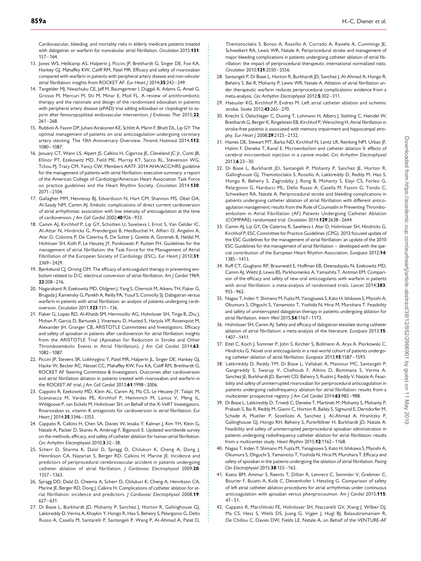<span id="page-8-0"></span>Cardiovascular, bleeding, and mortality risks in elderly medicare patients treated with dabigatran or warfarin for nonvalvular atrial fibrillation. Circulation 2015;131: 157 –164.

- 13. Jones WS, Hellkamp AS, Halperin J, Piccini JP, Breithardt G, Singer DE, Fox KA, Hankey GJ, Mahaffey KW, Califf RM, Patel MR. Efficacy and safety of rivaroxaban compared with warfarin in patients with peripheral artery disease and non-valvular atrial fibrillation: insights from ROCKET AF. Eur Heart | 2014;35:242-249.
- 14. Tangelder MJ, Nwachuku CE, Jaff M, Baumgartner I, Duggal A, Adams G, Ansel G, Grosso M, Mercuri M, Shi M, Minar E, Moll FL. A review of antithrombotic therapy and the rationale and design of the randomized edoxaban in patients with peripheral artery disease (ePAD) trial adding edoxaban or clopidogrel to aspirin after femoropopliteal endovascular intervention. J Endovasc Ther 2015;22:  $261 - 268$
- 15. Rubboli A, Faxon DP, Juhani Airaksinen KE, Schlitt A, Marin F, Bhatt DL, Lip GY. The optimal management of patients on oral anticoagulation undergoing coronary artery stenting. The 10th Anniversary Overview. Thromb Haemost 2014;112: 1080– 1087.
- 16. January CT, Wann LS, Alpert JS, Calkins H, Cigarroa JE, Cleveland JC Jr, Conti JB, Ellinor PT, Ezekowitz MD, Field ME, Murray KT, Sacco RL, Stevenson WG, Tchou PJ, Tracy CM, Yancy CW, Members AATF. 2014 AHA/ACC/HRS guideline for the management of patients with atrial fibrillation: executive summary: a report of the American College of Cardiology/American Heart Association Task Force on practice guidelines and the Heart Rhythm Society. Circulation 2014;130: 2071– 2104.
- 17. Gallagher MM, Hennessy BJ, Edvardsson N, Hart CM, Shannon MS, Obel OA, Al-Saady NM, Camm AJ. Embolic complications of direct current cardioversion of atrial arrhythmias: association with low intensity of anticoagulation at the time of cardioversion. J Am Coll Cardiol 2002;40:926-933.
- 18. Camm AJ, Kirchhof P, Lip GY, Schotten U, Savelieva I, Ernst S, Van Gelder IC, Al-Attar N, Hindricks G, Prendergast B, Heidbuchel H, Alfieri O, Angelini A, Atar D, Colonna P, De Caterina R, De Sutter J, Goette A, Gorenek B, Heldal M, Hohloser SH, Kolh P, Le Heuzey JY, Ponikowski P, Rutten FH. Guidelines for the management of atrial fibrillation: the Task Force for the Management of Atrial Fibrillation of the European Society of Cardiology (ESC). Eur Heart | 2010;31: 2369– 2429.
- 19. Bjerkelund CJ, Orning OM. The efficacy of anticoagulant therapy in preventing embolism related to D.C. electrical conversion of atrial fibrillation. Am J Cardiol 1969; 23:208 –216.
- 20. Nagarakanti R, Ezekowitz MD, Oldgren J, Yang S, Chernick M, Aikens TH, Flaker G, Brugada J, Kamensky G, Parekh A, Reilly PA, Yusuf S, Connolly SJ. Dabigatran versus warfarin in patients with atrial fibrillation: an analysis of patients undergoing cardioversion. Circulation 2011;123:131 –136.
- 21. Flaker G, Lopes RD, Al-Khatib SM, Hermosillo AG, Hohnloser SH, Tinga B, Zhu J, Mohan P, Garcia D, Bartunek J, Vinereanu D, Husted S, Harjola VP, Rosenqvist M, Alexander JH, Granger CB, ARISTOTLE Committees and Investigators. Efficacy and safety of apixaban in patients after cardioversion for atrial fibrillation: insights from the ARISTOTLE Trial (Apixaban for Reduction in Stroke and Other Thromboembolic Events in Atrial Fibrillation). J Am Coll Cardiol 2014;63: 1082– 1087.
- 22. Piccini JP, Stevens SR, Lokhnygina Y, Patel MR, Halperin JL, Singer DE, Hankey GJ, Hacke W, Becker RC, Nessel CC, Mahaffey KW, Fox KA, Califf RM, Breithardt G, ROCKET AF Steering Committee & Investigators. Outcomes after cardioversion and atrial fibrillation ablation in patients treated with rivaroxaban and warfarin in the ROCKET AF trial. J Am Coll Cardiol 2013;61:1998-2006.
- 23. Cappato R, Ezekowitz MD, Klein AL, Camm AJ, Ma CS, Le Heuzey JY, Talajic M, Scanavacca M, Vardas PE, Kirchhof P, Hemmrich M, Lanius V, Meng IL, Wildgoose P, van Eickels M, Hohnloser SH, on Behalf of the X-VeRT Investigators. Rivaroxaban vs. vitamin K antagonists for cardioversion in atrial fibrillation. Eur Heart 1 2014:35:3346-3355.
- 24. Cappato R, Calkins H, Chen SA, Davies W, Iesaka Y, Kalman J, Kim YH, Klein G, Natale A, Packer D, Skanes A, Ambrogi F, Biganzoli E. Updated worldwide survey on the methods, efficacy, and safety of catheter ablation for human atrial fibrillation. Circ Arrhythm Electrophysiol 2010;3:32-38.
- 25. Scherr D, Sharma K, Dalal D, Spragg D, Chilukuri K, Cheng A, Dong J, Henrikson CA, Nazarian S, Berger RD, Calkins H, Marine JE. Incidence and predictors of periprocedural cerebrovascular accident in patients undergoing catheter ablation of atrial fibrillation. J Cardiovasc Electrophysiol 2009;20: 1357 –1363.
- 26. Spragg DD, Dalal D, Cheema A, Scherr D, Chilukuri K, Cheng A, Henrikson CA, Marine JE, Berger RD, Dong J, Calkins H. Complications of catheter ablation for atrial fibrillation: incidence and predictors. J Cardiovasc Electrophysiol 2008;19: 627 –631.
- 27. Di Biase L, Burkhardt JD, Mohanty P, Sanchez J, Horton R, Gallinghouse GJ, Lakkireddy D, Verma A, Khaykin Y, Hongo R, Hao S, Beheiry S, Pelargonio G, Dello Russo A, Casella M, Santarelli P, Santangeli P, Wang P, Al-Ahmad A, Patel D,

Themistoclakis S, Bonso A, Rossillo A, Corrado A, Raviele A, Cummings JE, Schweikert RA, Lewis WR, Natale A. Periprocedural stroke and management of major bleeding complications in patients undergoing catheter ablation of atrial fibrillation: the impact of periprocedural therapeutic international normalized ratio. Circulation 2010;121:2550 –2556.

- 28. Santangeli P, Di Biase L, Horton R, Burkhardt JD, Sanchez J, Al-Ahmad A, Hongo R, Beheiry S, Bai R, Mohanty P, Lewis WR, Natale A. Ablation of atrial fibrillation under therapeutic warfarin reduces periprocedural complications: evidence from a meta-analysis. Circ Arrhythm Electrophysiol 2012;5:302-311.
- 29. Haeusler KG, Kirchhof P, Endres M. Left atrial catheter ablation and ischemic stroke. Stroke 2012;43:265 –270.
- 30. Knecht S, Oelschlager C, Duning T, Lohmann H, Albers J, Stehling C, Heindel W, Breithardt G, Berger K, Ringelstein EB, Kirchhof P, Wersching H. Atrial fibrillation in stroke-free patients is associated with memory impairment and hippocampal atrophy. Eur Heart | 2008;29:2125-2132.
- 31. Haines DE, Stewart MT, Barka ND, Kirchhof N, Lentz LR, Reinking NM, Urban JF, Halimi F, Deneke T, Kanal E. Microembolism and catheter ablation II: effects of cerebral microemboli injection in a canine model. Circ Arrhythm Electrophysiol  $2013.623 - 30$
- 32. Di Biase L, Burkhardt JD, Santangeli P, Mohanty P, Sanchez JE, Horton R, Gallinghouse GJ, Themistoclakis S, Rossillo A, Lakkireddy D, Reddy M, Hao S, Hongo R, Beheiry S, Zagrodzky J, Rong B, Mohanty S, Elayi CS, Forleo G, Pelargonio G, Narducci ML, Dello Russo A, Casella M, Fassini G, Tondo C, Schweikert RA, Natale A. Periprocedural stroke and bleeding complications in patients undergoing catheter ablation of atrial fibrillation with different anticoagulation management: results from the Role of Coumadin in Preventing Thromboembolism in Atrial Fibrillation (AF) Patients Undergoing Catheter Ablation (COMPARE) randomized trial. Circulation 2014;129:2638 – 2644.
- 33. Camm AJ, Lip GY, De Caterina R, Savelieva I, Atar D, Hohnloser SH, Hindricks G, Kirchhof P, ESC Committee for Practice Guidelines (CPG). 2012 focused update of the ESC Guidelines for the management of atrial fibrillation: an update of the 2010 ESC Guidelines for the management of atrial fibrillation – developed with the special contribution of the European Heart Rhythm Association. Europace 2012;14: 1385 –1413.
- 34. Ruff CT, Giugliano RP, Braunwald E, Hoffman EB, Deenadayalu N, Ezekowitz MD, Camm AJ, Weitz JI, Lewis BS, Parkhomenko A, Yamashita T, Antman EM. Comparison of the efficacy and safety of new oral anticoagulants with warfarin in patients with atrial fibrillation: a meta-analysis of randomised trials. Lancet 2014;383: 955 –962.
- 35. Nagao T, Inden Y, Shimano M, Fujita M, Yanagisawa S, Kato H, Ishikawa S, Miyoshi A, Okumura S, Ohguchi S, Yamamoto T, Yoshida N, Hirai M, Murohara T. Feasibility and safety of uninterrupted dabigatran therapy in patients undergoing ablation for atrial fibrillation. Intern Med 2015;54:1167-1173.
- 36. Hohnloser SH, Camm AJ. Safety and efficacy of dabigatran etexilate during catheter ablation of atrial fibrillation: a meta-analysis of the literature. Europace 2013;15: 1407 –1411.
- 37. Eitel C, Koch J, Sommer P, John S, Kircher S, Bollmann A, Arya A, Piorkowski C, Hindricks G. Novel oral anticoagulants in a real-world cohort of patients undergoing catheter ablation of atrial fibrillation. Europace 2013;15:1587-1593.
- 38. Lakkireddy D, Reddy YM, Di Biase L, Vallakati A, Mansour MC, Santangeli P, Gangireddy S, Swarup V, Chalhoub F, Atkins D, Bommana S, Verma A, Sanchez JE, Burkhardt JD, Barrett CD, Baheiry S, Ruskin J, Reddy V, Natale A. Feasibility and safety of uninterrupted rivaroxaban for periprocedural anticoagulation in patients undergoing radiofrequency ablation for atrial fibrillation: results from a multicenter prospective registry. J Am Coll Cardiol 2014;63:982-988
- 39. Di Biase L, Lakkireddy D, Trivedi C, Deneke T, Martinek M, Mohanty S, Mohanty P, Prakash S, Bai R, Reddy M, Gianni C, Horton R, Bailey S, Sigmund E, Derndorfer M, Schade A, Mueller P, Szoelloes A, Sanchez J, Al-Ahmad A, Hranitzky P, Gallinghouse GJ, Hongo RH, Beheiry S, Purerfellner H, Burkhardt JD, Natale A. Feasibility and safety of uninterrupted periprocedural apixaban administration in patients undergoing radiofrequency catheter ablation for atrial fibrillation: results from a multicenter study. Heart Rhythm 2015;12:1162-1168.
- 40. Nagao T, Inden Y, Shimano M, Fujita M, Yanagisawa S, Kato H, Ishikawa S, Miyoshi A, Okumura S, Ohguchi S, Yamamoto T, Yoshida N, Hirai M, Murohara T. Efficacy and safety of apixaban in the patients undergoing the ablation of atrial fibrillation. Pacing Clin Electrophysiol 2015;38:155-163.
- 41. Kaess BM, Ammar S, Reents T, Dillier R, Lennerz C, Semmler V, Grebmer C, Bourier F, Buiatti A, Kolb C, Deisenhofer I, Hessling G. Comparison of safety of left atrial catheter ablation procedures for atrial arrhythmias under continuous anticoagulation with apixaban versus phenprocoumon. Am J Cardiol 2015;115:  $47 - 51$
- 42. Cappato R, Marchlinski FE, Hohnloser SH, Naccarelli GV, Xiang J, Wilber DJ, Ma CS, Hess S, Wells DS, Juang G, Vijgen J, Hugl BJ, Balasubramaniam R, De Chillou C, Davies DW, Fields LE, Natale A, on Behalf of the VENTURE-AF